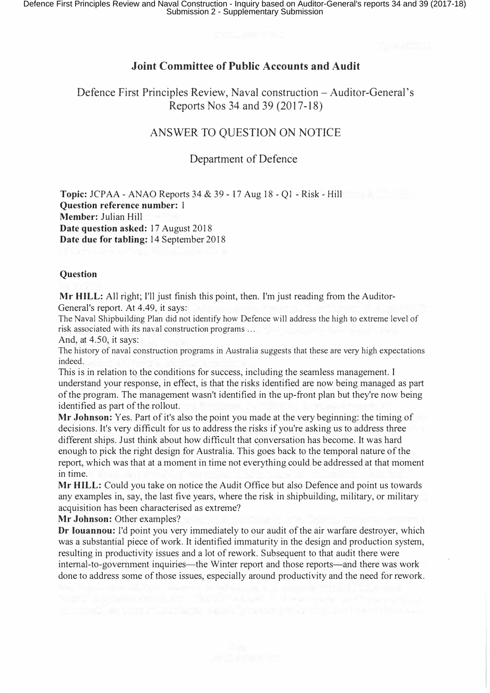## **Joint Committee of Public Accounts and Audit**

Defence First Principles Review, Naval construction – Auditor-General's Reports Nos 34 and 39(2017-18)

# ANSWER TO QUESTION ON NOTICE

### Department of Defence

**Topic:** JCPAA - ANAO Reports 34 & 39 - 17 Aug 18 - Ql - Risk - Hill **Question reference number:** I **Member:** Julian Hill **Date question asked:** 17 August 2018 **Date due for tabling:** 14 September 2018

### **Question**

**Mr HILL:** All right; I'll just finish this point, then. I'm just reading from the Auditor-General's report. At 4.49, it says:

The Naval Shipbuilding Plan did not identify how Defence will address the high to extreme level of risk associated with its naval construction programs ...

And, at 4.50, it says:

The history of naval construction programs in Australia suggests that these are very high expectations indeed.

This is in relation to the conditions for success, including the seamless management. I understand your response, in effect, is that the risks identified are now being managed as part of the program. The management wasn't identified in the up-front plan but they're now being identified as part of the rollout.

**Mr Johnson:** Yes. Part of it's also the point you made at the very beginning: the timing of decisions. It's very difficult for us to address the risks if you're asking us to address three different ships. Just think about how difficult that conversation has become. It was hard enough to pick the right design for Australia. This goes back to the temporal nature of the report, which was that at a moment in time not everything could be addressed at that moment in time.

**Mr HILL:** Could you take on notice the Audit Office but also Defence and point us towards any examples in, say, the last five years, where the risk in shipbuilding, military, or military acquisition has been characterised as extreme?

**Mr Johnson:** Other examples?

**Dr Iouannou:** I'd point you very immediately to our audit of the air warfare destroyer, which was a substantial piece of work. It identified immaturity in the design and production system, resulting in productivity issues and a lot of rework. Subsequent to that audit there were internal-to-government inquiries—the Winter report and those reports—and there was work done to address some of those issues, especially around productivity and the need for rework.